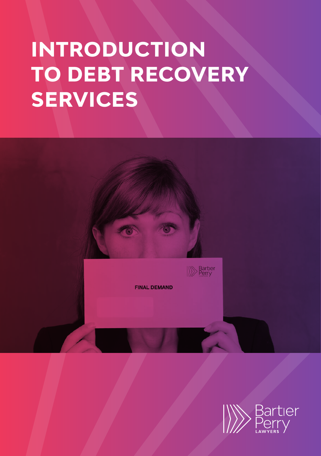# **INTRODUCTION TO DEBT RECOVERY SERVICES**

**FINAL DEMAND** 

**Bartier** 

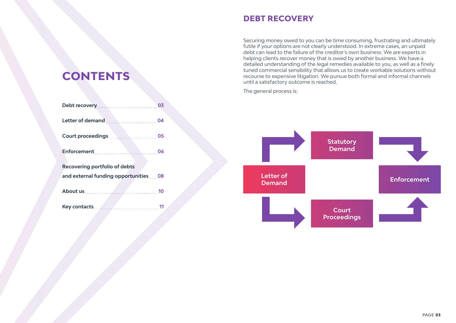## **DEBT RECOVERY**

Securing money owed to you can be time consuming, frustrating and ultimately futile if your options are not clearly understood. In extreme cases, an unpaid debt can lead to the failure of the creditor's own business. We are experts in helping clients recover money that is owed by another business. We have a detailed understanding of the legal remedies available to you, as well as a finely tuned commercial sensibility that allows us to create workable solutions without recourse to expensive litigation. We pursue both formal and informal channels until a satisfactory outcome is reached.

The general process is:



## **CONTENTS**

| Debt recovery                         | 03 |
|---------------------------------------|----|
| Letter of demand                      | 04 |
| <b>Court proceedings</b>              | 05 |
| Enforcement                           | 06 |
| <b>Recovering portfolio of debts</b>  |    |
| and external funding opportunities 08 |    |
| About us                              | 10 |
| <b>Key contacts</b>                   | 11 |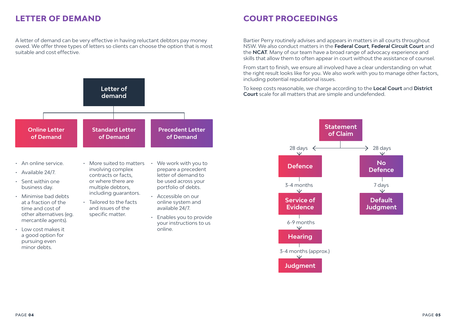## **LETTER OF DEMAND**

A letter of demand can be very effective in having reluctant debtors pay money owed. We offer three types of letters so clients can choose the option that is most suitable and cost effective.



- An online service.
- Available 24/7.
- Sent within one business day.
- Minimise bad debts at a fraction of the time and cost of other alternatives (eg. mercantile agents).
- Low cost makes it a good option for pursuing even minor debts.
- More suited to matters involving complex contracts or facts, or where there are multiple debtors, including guarantors.
- Tailored to the facts and issues of the specific matter.
- We work with you to prepare a precedent letter of demand to be used across your portfolio of debts.
- Accessible on our online system and available 24/7.
- Enables you to provide your instructions to us online.

## **COURT PROCEEDINGS**

Bartier Perry routinely advises and appears in matters in all courts throughout NSW. We also conduct matters in the **Federal Court**, **Federal Circuit Court** and the **NCAT**. Many of our team have a broad range of advocacy experience and skills that allow them to often appear in court without the assistance of counsel.

From start to finish, we ensure all involved have a clear understanding on what the right result looks like for you. We also work with you to manage other factors, including potential reputational issues.

To keep costs reasonable, we charge according to the **Local Court** and **District Court** scale for all matters that are simple and undefended.

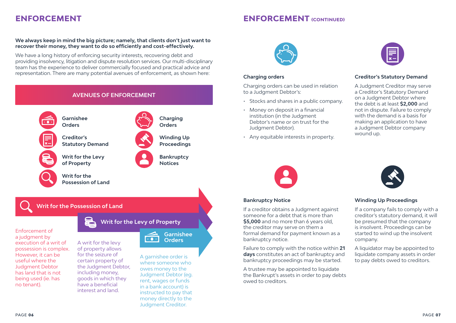## **ENFORCEMENT ENFORCEMENT (CONTINUED)**

### **We always keep in mind the big picture; namely, that clients don't just want to recover their money, they want to do so efficiently and cost-effectively.**

We have a long history of enforcing security interests, recovering debt and providing insolvency, litigation and dispute resolution services. Our multi-disciplinary team has the experience to deliver commercially focused and practical advice and representation. There are many potential avenues of enforcement, as shown here:



a judgment by execution of a writ of possession is complex. However, it can be useful where the Judgment Debtor has land that is not being used (ie. has no tenant).

#### of property allows for the seizure of certain property of the Judgment Debtor, including money, goods in which they have a beneficial interest and land.

A garnishee order is where someone who owes money to the Judgment Debtor (eg. rent, wages or funds in a bank account) is instructed to pay that money directly to the Judgment Creditor.



### **Charging orders**

Charging orders can be used in relation to a Judgment Debtor's:

- Stocks and shares in a public company.
- Money on deposit in a financial institution (in the Judgment Debtor's name or on trust for the Judgment Debtor).
- Any equitable interests in property.



### **Creditor's Statutory Demand**

A Judgment Creditor may serve a Creditor's Statutory Demand on a Judgment Debtor where the debt is at least **\$2,000** and not in dispute. Failure to comply with the demand is a basis for making an application to have a Judgment Debtor company wound up.



#### **Bankruptcy Notice**

If a creditor obtains a Judgment against someone for a debt that is more than **\$5,000** and no more than 6 years old, the creditor may serve on them a formal demand for payment known as a bankruptcy notice.

Failure to comply with the notice within **21 days** constitutes an act of bankruptcy and bankruptcy proceedings may be started.

A trustee may be appointed to liquidate the Bankrupt's assets in order to pay debts owed to creditors.



#### **Winding Up Proceedings**

If a company fails to comply with a creditor's statutory demand, it will be presumed that the company is insolvent. Proceedings can be started to wind up the insolvent company.

A liquidator may be appointed to liquidate company assets in order to pay debts owed to creditors.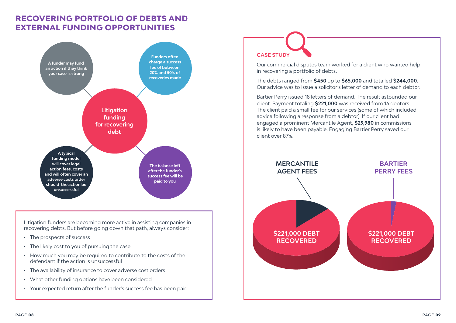## **RECOVERING PORTFOLIO OF DEBTS AND EXTERNAL FUNDING OPPORTUNITIES**



Litigation funders are becoming more active in assisting companies in recovering debts. But before going down that path, always consider:

- The prospects of success
- The likely cost to you of pursuing the case
- How much you may be required to contribute to the costs of the defendant if the action is unsuccessful
- The availability of insurance to cover adverse cost orders
- What other funding options have been considered
- Your expected return after the funder's success fee has been paid

# **CASE STUDY**

Our commercial disputes team worked for a client who wanted help in recovering a portfolio of debts.

The debts ranged from **\$450** up to **\$65,000** and totalled **\$244,000**. Our advice was to issue a solicitor's letter of demand to each debtor.

Bartier Perry issued 18 letters of demand. The result astounded our client. Payment totaling **\$221,000** was received from 16 debtors. The client paid a small fee for our services (some of which included advice following a response from a debtor). If our client had engaged a prominent Mercantile Agent, **\$29,980** in commissions is likely to have been payable. Engaging Bartier Perry saved our client over 87%.

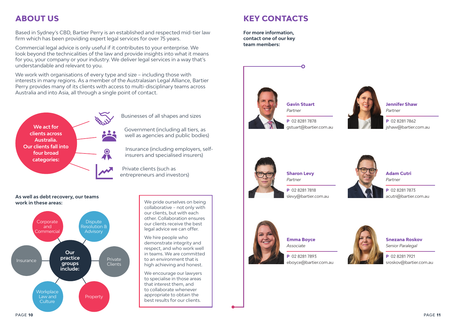Based in Sydney's CBD, Bartier Perry is an established and respected mid-tier law firm which has been providing expert legal services for over 75 years.

Commercial legal advice is only useful if it contributes to your enterprise. We look beyond the technicalities of the law and provide insights into what it means for you, your company or your industry. We deliver legal services in a way that's understandable and relevant to you.

We work with organisations of every type and size – including those with interests in many regions. As a member of the Australasian Legal Alliance, Bartier Perry provides many of its clients with access to multi-disciplinary teams across Australia and into Asia, all through a single point of contact.



Businesses of all shapes and sizes

Government (including all tiers, as well as agencies and public bodies)

Insurance (including employers, selfinsurers and specialised insurers)

Private clients (such as entrepreneurs and investors)

### **As well as debt recovery, our teams work in these areas:**



We pride ourselves on being collaborative – not only with our clients, but with each other. Collaboration ensures our clients receive the best legal advice we can offer.

We hire people who demonstrate integrity and respect, and who work well in teams. We are committed to an environment that is high achieving and honest.

We encourage our lawyers to specialise in those areas that interest them, and to collaborate whenever appropriate to obtain the best results for our clients.

## **ABOUT US KEY CONTACTS**

**For more information, contact one of our key team members:**



**Gavin Stuart** *Partner*

**P** 02 8281 7878 gstuart@bartier.com.au **Jennifer Shaw** *Partner*  jshaw@bartier.com.au

**P** 02 8281 7862



**Sharon Levy** *Partner*

**P** 02 8281 7818 slevy@bartier.com.au



**P** 02 8281 7873

**Emma Boyce** *Associate* 

**P** 02 8281 7893 eboyce@bartier.com.au



**Snezana Roskov** *Senior Paralegal*

**P** 02 8281 7921 sroskov@bartier.com.au